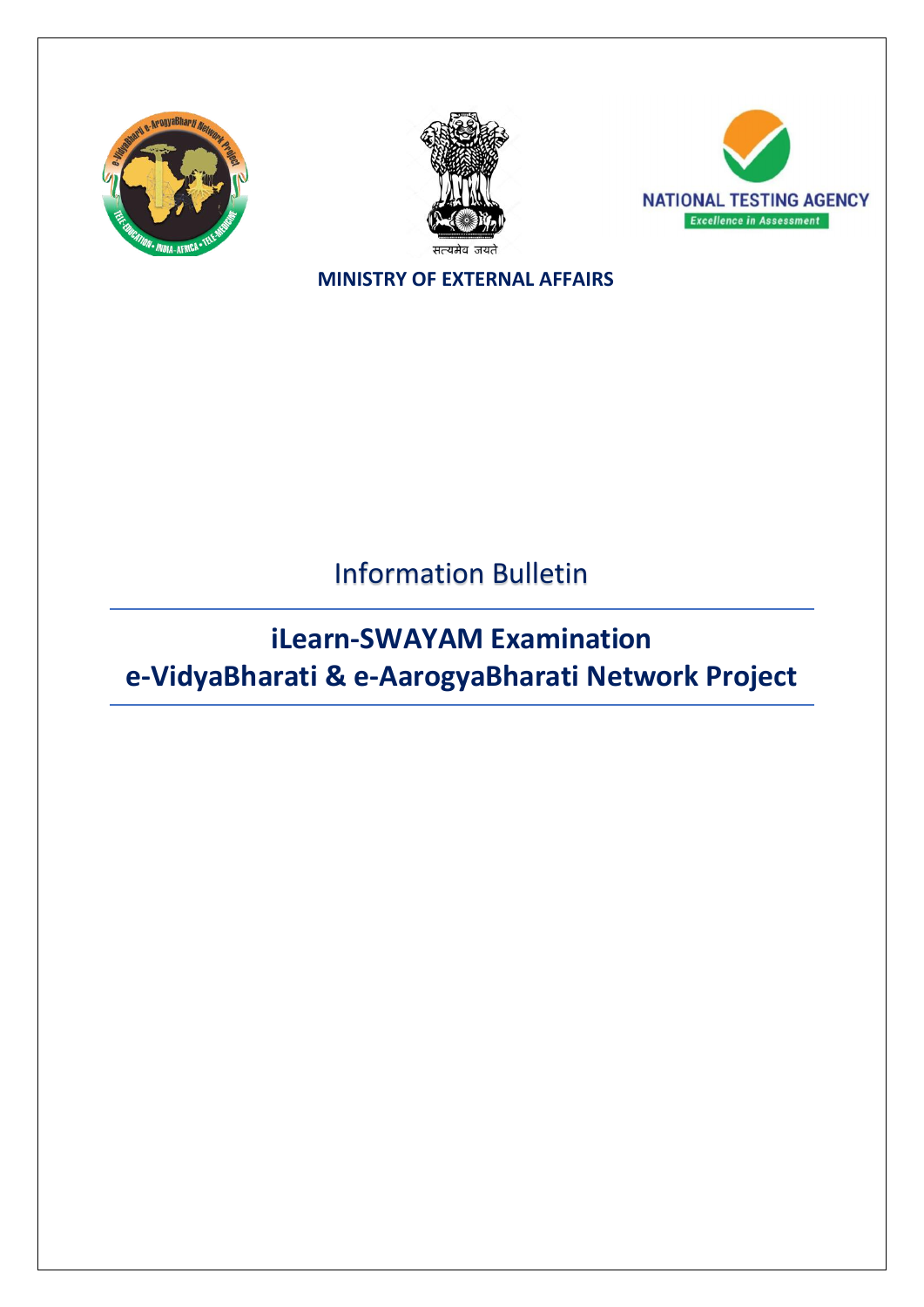





**MINISTRY OF EXTERNAL AFFAIRS**

Information Bulletin

**iLearn-SWAYAM Examination e-VidyaBharati & e-AarogyaBharati Network Project**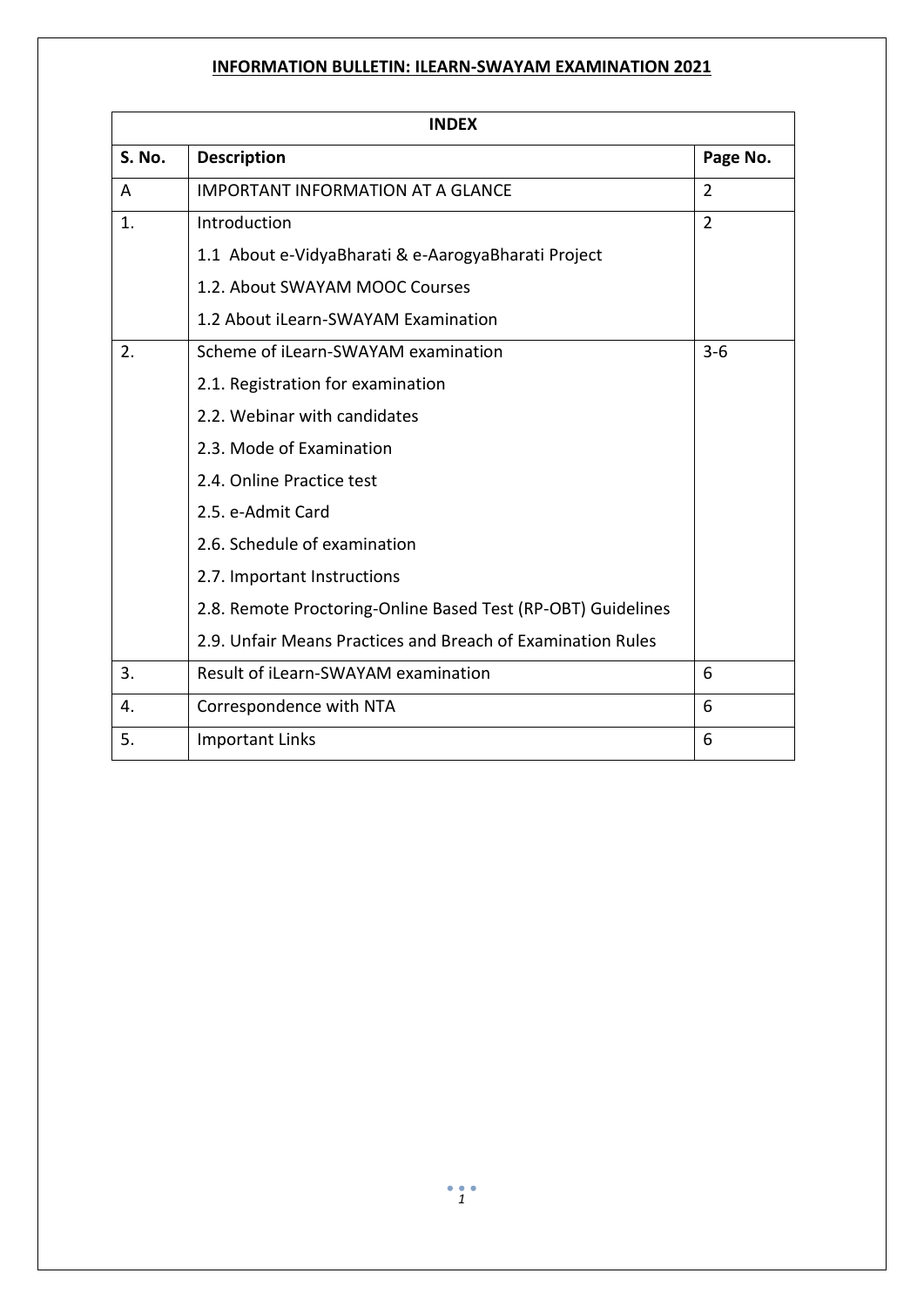| <b>INDEX</b>  |                                                              |                |  |
|---------------|--------------------------------------------------------------|----------------|--|
| <b>S. No.</b> | <b>Description</b>                                           | Page No.       |  |
| A             | <b>IMPORTANT INFORMATION AT A GLANCE</b>                     | $\overline{2}$ |  |
| 1.            | Introduction                                                 | $\overline{2}$ |  |
|               | 1.1 About e-VidyaBharati & e-AarogyaBharati Project          |                |  |
|               | 1.2. About SWAYAM MOOC Courses                               |                |  |
|               | 1.2 About iLearn-SWAYAM Examination                          |                |  |
| 2.            | Scheme of iLearn-SWAYAM examination                          | $3-6$          |  |
|               | 2.1. Registration for examination                            |                |  |
|               | 2.2. Webinar with candidates                                 |                |  |
|               | 2.3. Mode of Examination                                     |                |  |
|               | 2.4. Online Practice test                                    |                |  |
|               | 2.5. e-Admit Card                                            |                |  |
|               | 2.6. Schedule of examination                                 |                |  |
|               | 2.7. Important Instructions                                  |                |  |
|               | 2.8. Remote Proctoring-Online Based Test (RP-OBT) Guidelines |                |  |
|               | 2.9. Unfair Means Practices and Breach of Examination Rules  |                |  |
| 3.            | Result of iLearn-SWAYAM examination                          | 6              |  |
| 4.            | Correspondence with NTA                                      | 6              |  |
| 5.            | <b>Important Links</b>                                       | 6              |  |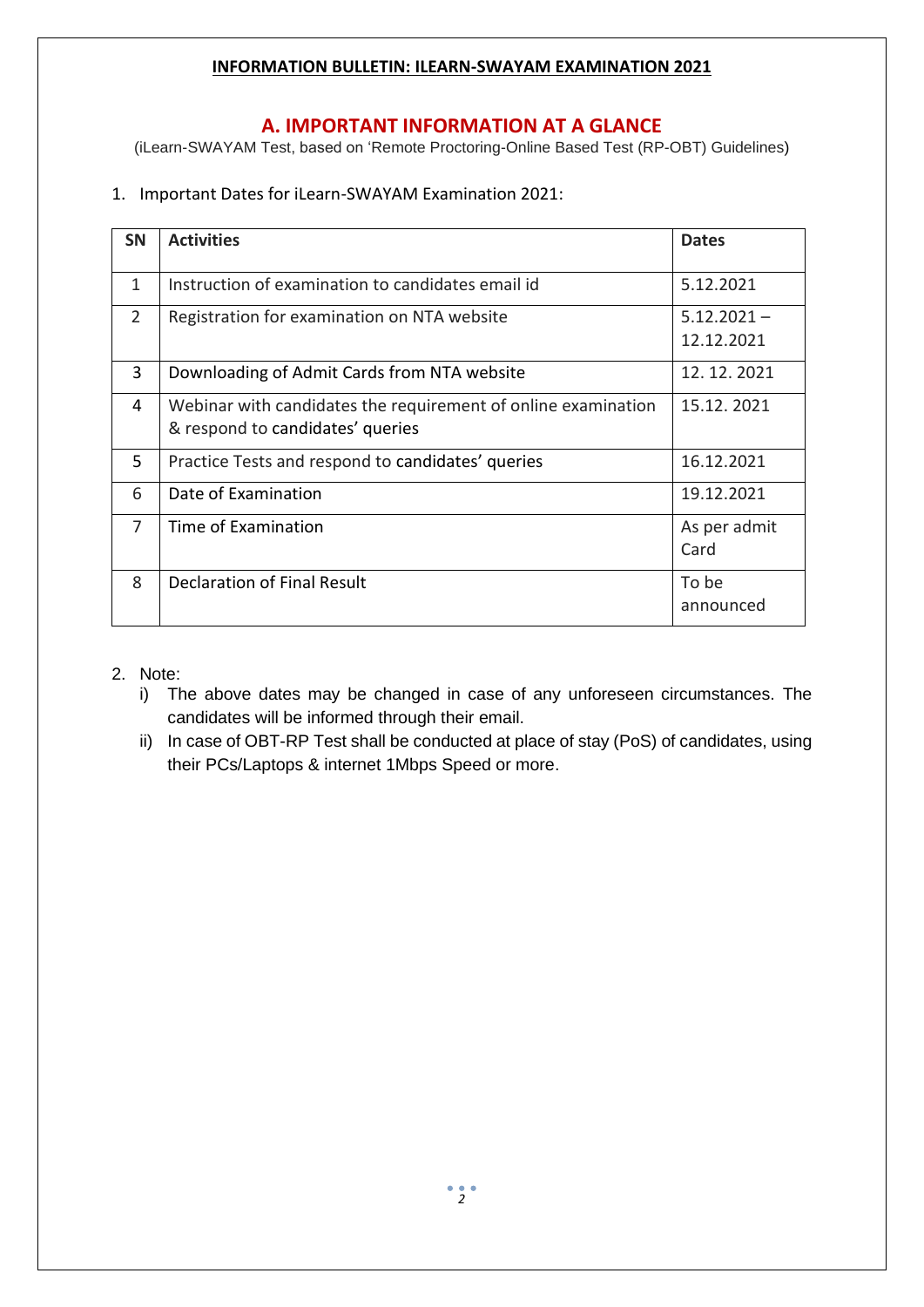### **A. IMPORTANT INFORMATION AT A GLANCE**

(iLearn-SWAYAM Test, based on 'Remote Proctoring-Online Based Test (RP-OBT) Guidelines)

1. Important Dates for iLearn-SWAYAM Examination 2021:

| <b>SN</b>      | <b>Activities</b>                                                                                 | <b>Dates</b>                |
|----------------|---------------------------------------------------------------------------------------------------|-----------------------------|
| 1              | Instruction of examination to candidates email id                                                 | 5.12.2021                   |
| $\overline{2}$ | Registration for examination on NTA website                                                       | $5.12.2021 -$<br>12.12.2021 |
| 3              | Downloading of Admit Cards from NTA website                                                       | 12.12.2021                  |
| 4              | Webinar with candidates the requirement of online examination<br>& respond to candidates' queries | 15.12.2021                  |
| 5.             | Practice Tests and respond to candidates' queries                                                 | 16.12.2021                  |
| 6              | Date of Examination                                                                               | 19.12.2021                  |
| 7              | Time of Examination                                                                               | As per admit<br>Card        |
| 8              | <b>Declaration of Final Result</b>                                                                | To be<br>announced          |

### 2. Note:

- i) The above dates may be changed in case of any unforeseen circumstances. The candidates will be informed through their email.
- ii) In case of OBT-RP Test shall be conducted at place of stay (PoS) of candidates, using their PCs/Laptops & internet 1Mbps Speed or more.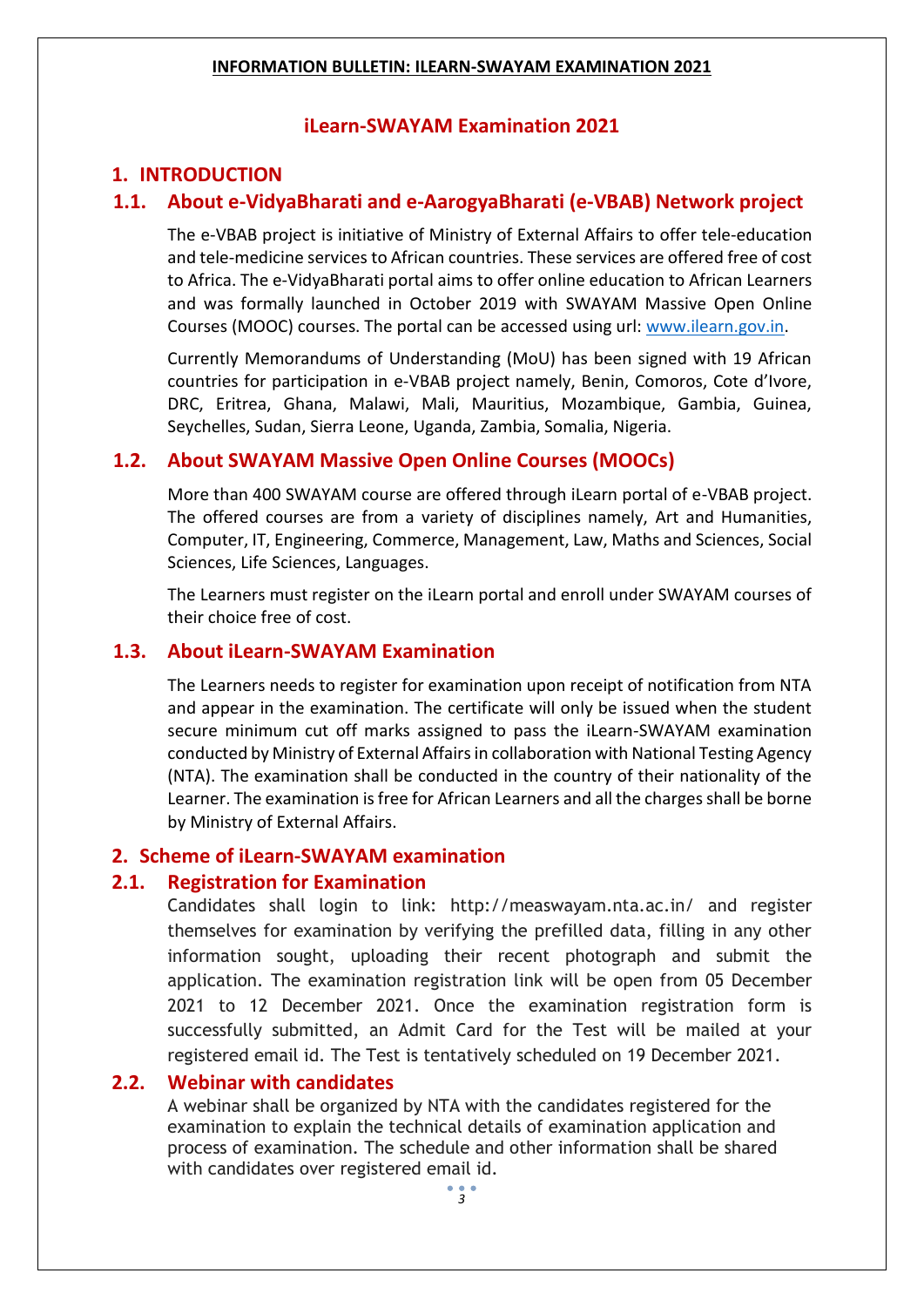## **iLearn-SWAYAM Examination 2021**

# **1. INTRODUCTION**

# **1.1. About e-VidyaBharati and e-AarogyaBharati (e-VBAB) Network project**

The e-VBAB project is initiative of Ministry of External Affairs to offer tele-education and tele-medicine services to African countries. These services are offered free of cost to Africa. The e-VidyaBharati portal aims to offer online education to African Learners and was formally launched in October 2019 with SWAYAM Massive Open Online Courses (MOOC) courses. The portal can be accessed using url: [www.ilearn.gov.in.](http://www.ilearn.gov.in/)

Currently Memorandums of Understanding (MoU) has been signed with 19 African countries for participation in e-VBAB project namely, Benin, Comoros, Cote d'Ivore, DRC, Eritrea, Ghana, Malawi, Mali, Mauritius, Mozambique, Gambia, Guinea, Seychelles, Sudan, Sierra Leone, Uganda, Zambia, Somalia, Nigeria.

## **1.2. About SWAYAM Massive Open Online Courses (MOOCs)**

More than 400 SWAYAM course are offered through iLearn portal of e-VBAB project. The offered courses are from a variety of disciplines namely, Art and Humanities, Computer, IT, Engineering, Commerce, Management, Law, Maths and Sciences, Social Sciences, Life Sciences, Languages.

The Learners must register on the iLearn portal and enroll under SWAYAM courses of their choice free of cost.

### **1.3. About iLearn-SWAYAM Examination**

The Learners needs to register for examination upon receipt of notification from NTA and appear in the examination. The certificate will only be issued when the student secure minimum cut off marks assigned to pass the iLearn-SWAYAM examination conducted by Ministry of External Affairs in collaboration with National Testing Agency (NTA). The examination shall be conducted in the country of their nationality of the Learner. The examination is free for African Learners and all the charges shall be borne by Ministry of External Affairs.

## **2. Scheme of iLearn-SWAYAM examination**

## **2.1. Registration for Examination**

Candidates shall login to link: http://measwayam.nta.ac.in/ and register themselves for examination by verifying the prefilled data, filling in any other information sought, uploading their recent photograph and submit the application. The examination registration link will be open from 05 December 2021 to 12 December 2021. Once the examination registration form is successfully submitted, an Admit Card for the Test will be mailed at your registered email id. The Test is tentatively scheduled on 19 December 2021.

### **2.2. Webinar with candidates**

A webinar shall be organized by NTA with the candidates registered for the examination to explain the technical details of examination application and process of examination. The schedule and other information shall be shared with candidates over registered email id.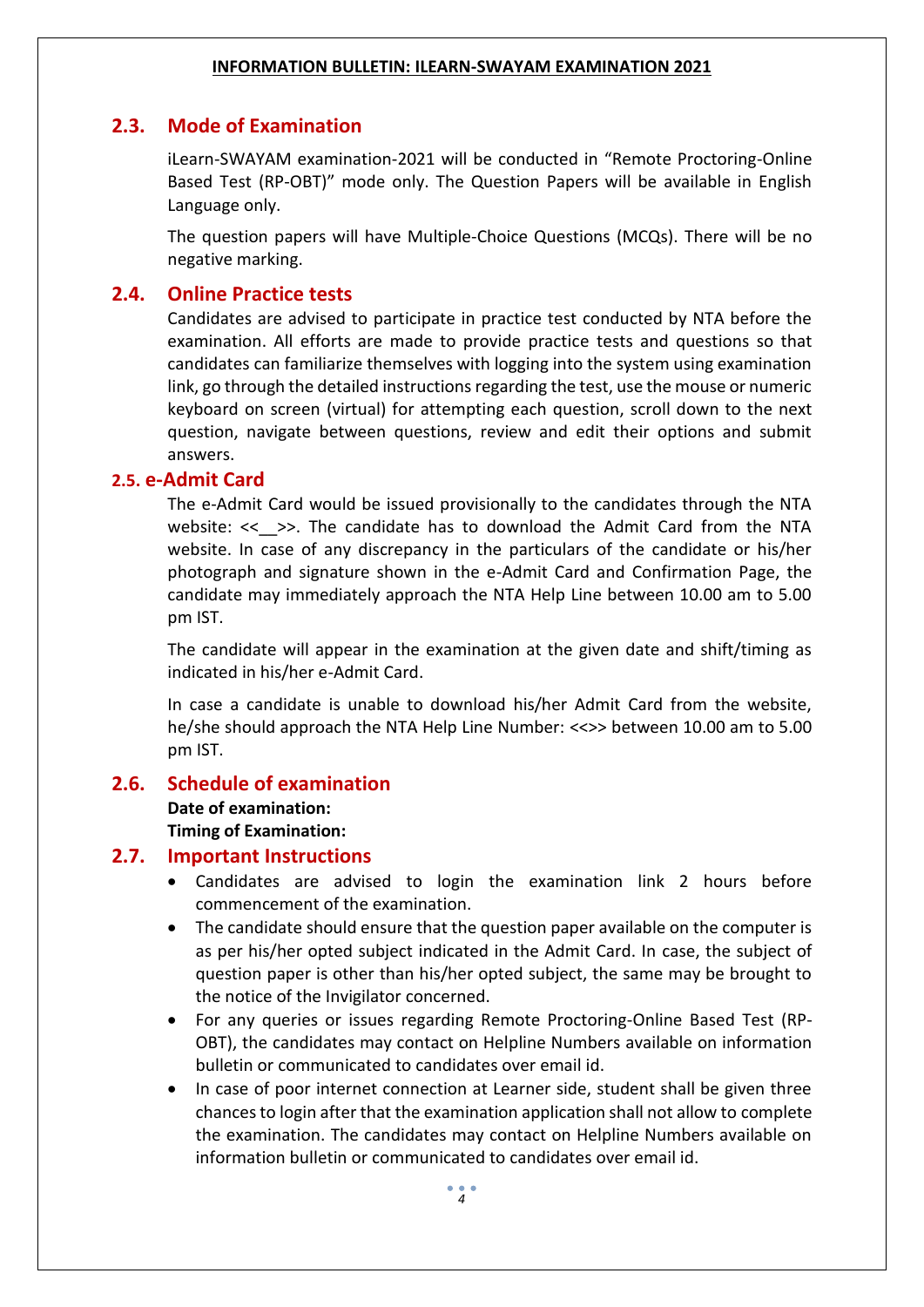# **2.3. Mode of Examination**

iLearn-SWAYAM examination-2021 will be conducted in "Remote Proctoring-Online Based Test (RP-OBT)" mode only. The Question Papers will be available in English Language only.

The question papers will have Multiple-Choice Questions (MCQs). There will be no negative marking.

## **2.4. Online Practice tests**

Candidates are advised to participate in practice test conducted by NTA before the examination. All efforts are made to provide practice tests and questions so that candidates can familiarize themselves with logging into the system using examination link, go through the detailed instructions regarding the test, use the mouse or numeric keyboard on screen (virtual) for attempting each question, scroll down to the next question, navigate between questions, review and edit their options and submit answers.

## **2.5. e-Admit Card**

The e-Admit Card would be issued provisionally to the candidates through the NTA website: << >>. The candidate has to download the Admit Card from the NTA website. In case of any discrepancy in the particulars of the candidate or his/her photograph and signature shown in the e-Admit Card and Confirmation Page, the candidate may immediately approach the NTA Help Line between 10.00 am to 5.00 pm IST.

The candidate will appear in the examination at the given date and shift/timing as indicated in his/her e-Admit Card.

In case a candidate is unable to download his/her Admit Card from the website, he/she should approach the NTA Help Line Number: <<>> between 10.00 am to 5.00 pm IST.

## **2.6. Schedule of examination**

**Date of examination: Timing of Examination:**

# **2.7. Important Instructions**

- Candidates are advised to login the examination link 2 hours before commencement of the examination.
- The candidate should ensure that the question paper available on the computer is as per his/her opted subject indicated in the Admit Card. In case, the subject of question paper is other than his/her opted subject, the same may be brought to the notice of the Invigilator concerned.
- For any queries or issues regarding Remote Proctoring-Online Based Test (RP-OBT), the candidates may contact on Helpline Numbers available on information bulletin or communicated to candidates over email id.
- In case of poor internet connection at Learner side, student shall be given three chances to login after that the examination application shall not allow to complete the examination. The candidates may contact on Helpline Numbers available on information bulletin or communicated to candidates over email id.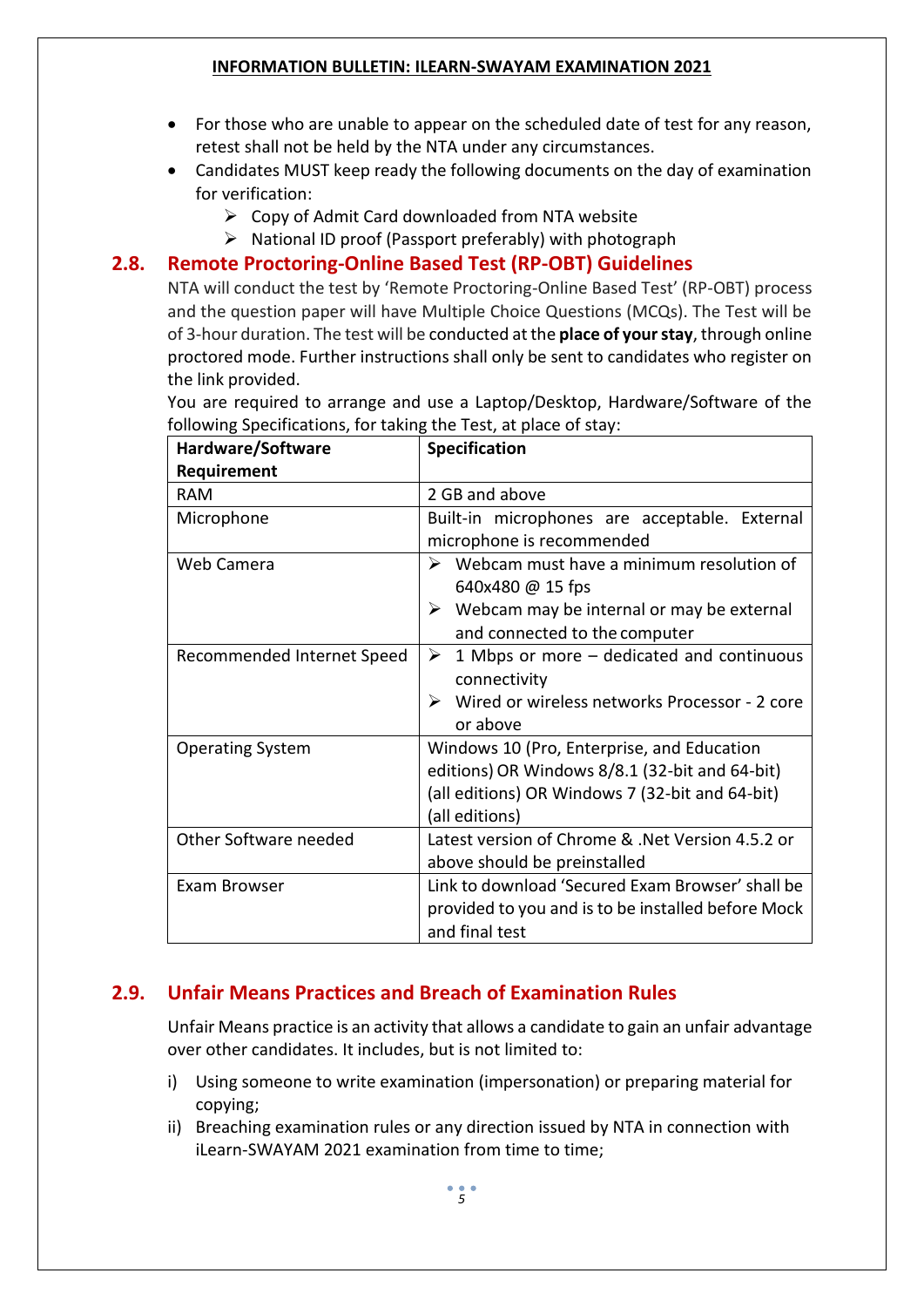- For those who are unable to appear on the scheduled date of test for any reason, retest shall not be held by the NTA under any circumstances.
- Candidates MUST keep ready the following documents on the day of examination for verification:
	- $\triangleright$  Copy of Admit Card downloaded from NTA website
	- $\triangleright$  National ID proof (Passport preferably) with photograph

## **2.8. Remote Proctoring-Online Based Test (RP-OBT) Guidelines**

NTA will conduct the test by 'Remote Proctoring-Online Based Test' (RP-OBT) process and the question paper will have Multiple Choice Questions (MCQs). The Test will be of 3-hour duration. The test will be conducted at the **place of your stay**, through online proctored mode. Further instructions shall only be sent to candidates who register on the link provided.

You are required to arrange and use a Laptop/Desktop, Hardware/Software of the following Specifications, for taking the Test, at place of stay:

| Hardware/Software          | <b>Specification</b>                                                                                                                                              |
|----------------------------|-------------------------------------------------------------------------------------------------------------------------------------------------------------------|
| Requirement                |                                                                                                                                                                   |
| <b>RAM</b>                 | 2 GB and above                                                                                                                                                    |
| Microphone                 | Built-in microphones are acceptable. External<br>microphone is recommended                                                                                        |
| Web Camera                 | Webcam must have a minimum resolution of<br>➤<br>640x480 @ 15 fps<br>$\triangleright$ Webcam may be internal or may be external<br>and connected to the computer  |
| Recommended Internet Speed | 1 Mbps or more – dedicated and continuous<br>➤<br>connectivity<br>Wired or wireless networks Processor - 2 core<br>➤<br>or above                                  |
| <b>Operating System</b>    | Windows 10 (Pro, Enterprise, and Education<br>editions) OR Windows 8/8.1 (32-bit and 64-bit)<br>(all editions) OR Windows 7 (32-bit and 64-bit)<br>(all editions) |
| Other Software needed      | Latest version of Chrome & .Net Version 4.5.2 or<br>above should be preinstalled                                                                                  |
| Exam Browser               | Link to download 'Secured Exam Browser' shall be<br>provided to you and is to be installed before Mock<br>and final test                                          |

# **2.9. Unfair Means Practices and Breach of Examination Rules**

Unfair Means practice is an activity that allows a candidate to gain an unfair advantage over other candidates. It includes, but is not limited to:

- i) Using someone to write examination (impersonation) or preparing material for copying;
- ii) Breaching examination rules or any direction issued by NTA in connection with iLearn-SWAYAM 2021 examination from time to time;